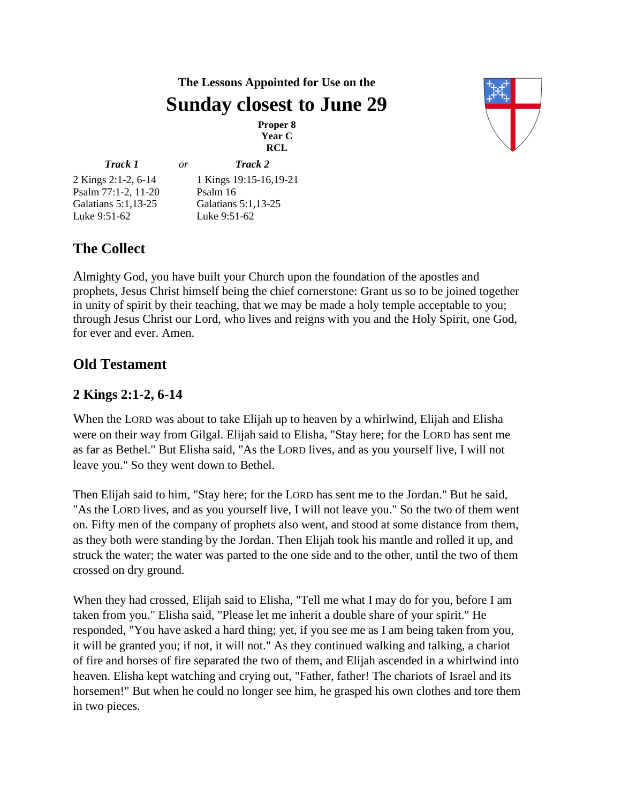# **The Lessons Appointed for Use on the Sunday closest to June 29**

**Proper 8 Year C RCL**

*Track 1 or Track 2* 2 Kings 2:1-2, 6-14 Psalm 77:1-2, 11-20 Galatians 5:1,13-25 Luke 9:51-62

1 Kings 19:15-16,19-21 Psalm 16 Galatians 5:1,13-25 Luke 9:51-62

# **The Collect**

Almighty God, you have built your Church upon the foundation of the apostles and prophets, Jesus Christ himself being the chief cornerstone: Grant us so to be joined together in unity of spirit by their teaching, that we may be made a holy temple acceptable to you; through Jesus Christ our Lord, who lives and reigns with you and the Holy Spirit, one God, for ever and ever. Amen.

# **Old Testament**

## **2 Kings 2:1-2, 6-14**

When the LORD was about to take Elijah up to heaven by a whirlwind, Elijah and Elisha were on their way from Gilgal. Elijah said to Elisha, "Stay here; for the LORD has sent me as far as Bethel." But Elisha said, "As the LORD lives, and as you yourself live, I will not leave you." So they went down to Bethel.

Then Elijah said to him, "Stay here; for the LORD has sent me to the Jordan." But he said, "As the LORD lives, and as you yourself live, I will not leave you." So the two of them went on. Fifty men of the company of prophets also went, and stood at some distance from them, as they both were standing by the Jordan. Then Elijah took his mantle and rolled it up, and struck the water; the water was parted to the one side and to the other, until the two of them crossed on dry ground.

When they had crossed, Elijah said to Elisha, "Tell me what I may do for you, before I am taken from you." Elisha said, "Please let me inherit a double share of your spirit." He responded, "You have asked a hard thing; yet, if you see me as I am being taken from you, it will be granted you; if not, it will not." As they continued walking and talking, a chariot of fire and horses of fire separated the two of them, and Elijah ascended in a whirlwind into heaven. Elisha kept watching and crying out, "Father, father! The chariots of Israel and its horsemen!" But when he could no longer see him, he grasped his own clothes and tore them in two pieces.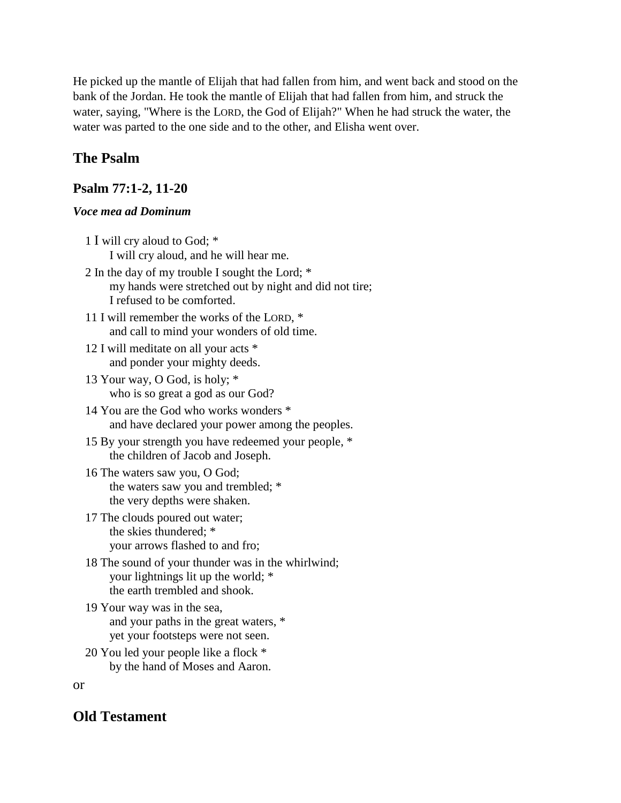He picked up the mantle of Elijah that had fallen from him, and went back and stood on the bank of the Jordan. He took the mantle of Elijah that had fallen from him, and struck the water, saying, "Where is the LORD, the God of Elijah?" When he had struck the water, the water was parted to the one side and to the other, and Elisha went over.

# **The Psalm**

## **Psalm 77:1-2, 11-20**

#### *Voce mea ad Dominum*

- 1 I will cry aloud to God; \* I will cry aloud, and he will hear me. 2 In the day of my trouble I sought the Lord; \* my hands were stretched out by night and did not tire; I refused to be comforted. 11 I will remember the works of the LORD, \* and call to mind your wonders of old time. 12 I will meditate on all your acts \* and ponder your mighty deeds. 13 Your way, O God, is holy; \* who is so great a god as our God? 14 You are the God who works wonders \* and have declared your power among the peoples. 15 By your strength you have redeemed your people, \* the children of Jacob and Joseph. 16 The waters saw you, O God; the waters saw you and trembled; \* the very depths were shaken. 17 The clouds poured out water; the skies thundered; \* your arrows flashed to and fro;
- 18 The sound of your thunder was in the whirlwind; your lightnings lit up the world; \* the earth trembled and shook.
- 19 Your way was in the sea, and your paths in the great waters, \* yet your footsteps were not seen.
- 20 You led your people like a flock \* by the hand of Moses and Aaron.

or

# **Old Testament**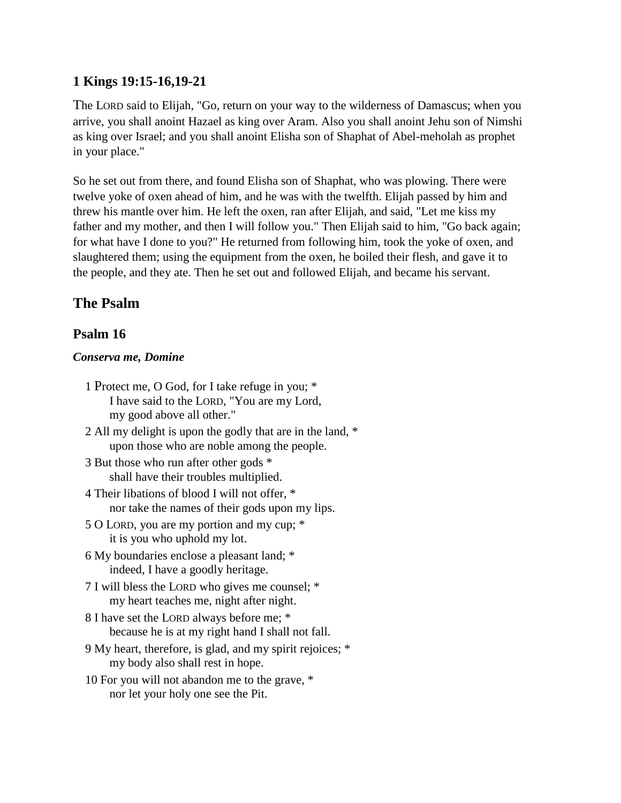#### **1 Kings 19:15-16,19-21**

The LORD said to Elijah, "Go, return on your way to the wilderness of Damascus; when you arrive, you shall anoint Hazael as king over Aram. Also you shall anoint Jehu son of Nimshi as king over Israel; and you shall anoint Elisha son of Shaphat of Abel-meholah as prophet in your place."

So he set out from there, and found Elisha son of Shaphat, who was plowing. There were twelve yoke of oxen ahead of him, and he was with the twelfth. Elijah passed by him and threw his mantle over him. He left the oxen, ran after Elijah, and said, "Let me kiss my father and my mother, and then I will follow you." Then Elijah said to him, "Go back again; for what have I done to you?" He returned from following him, took the yoke of oxen, and slaughtered them; using the equipment from the oxen, he boiled their flesh, and gave it to the people, and they ate. Then he set out and followed Elijah, and became his servant.

## **The Psalm**

#### **Psalm 16**

#### *Conserva me, Domine*

- 1 Protect me, O God, for I take refuge in you; \* I have said to the LORD, "You are my Lord, my good above all other."
- 2 All my delight is upon the godly that are in the land, \* upon those who are noble among the people.
- 3 But those who run after other gods \* shall have their troubles multiplied.
- 4 Their libations of blood I will not offer, \* nor take the names of their gods upon my lips.
- 5 O LORD, you are my portion and my cup; \* it is you who uphold my lot.
- 6 My boundaries enclose a pleasant land; \* indeed, I have a goodly heritage.
- 7 I will bless the LORD who gives me counsel; \* my heart teaches me, night after night.
- 8 I have set the LORD always before me; \* because he is at my right hand I shall not fall.
- 9 My heart, therefore, is glad, and my spirit rejoices; \* my body also shall rest in hope.
- 10 For you will not abandon me to the grave, \* nor let your holy one see the Pit.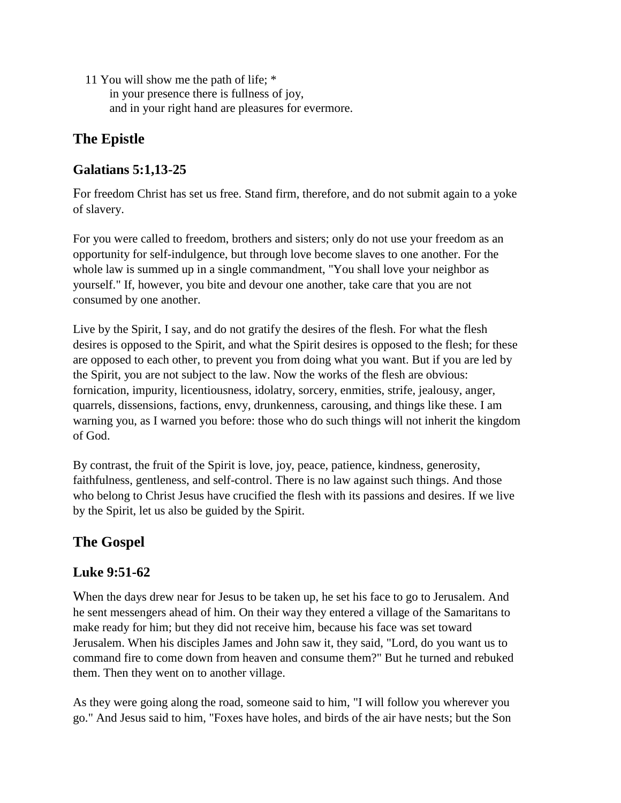11 You will show me the path of life; \* in your presence there is fullness of joy, and in your right hand are pleasures for evermore.

# **The Epistle**

### **Galatians 5:1,13-25**

For freedom Christ has set us free. Stand firm, therefore, and do not submit again to a yoke of slavery.

For you were called to freedom, brothers and sisters; only do not use your freedom as an opportunity for self-indulgence, but through love become slaves to one another. For the whole law is summed up in a single commandment, "You shall love your neighbor as yourself." If, however, you bite and devour one another, take care that you are not consumed by one another.

Live by the Spirit, I say, and do not gratify the desires of the flesh. For what the flesh desires is opposed to the Spirit, and what the Spirit desires is opposed to the flesh; for these are opposed to each other, to prevent you from doing what you want. But if you are led by the Spirit, you are not subject to the law. Now the works of the flesh are obvious: fornication, impurity, licentiousness, idolatry, sorcery, enmities, strife, jealousy, anger, quarrels, dissensions, factions, envy, drunkenness, carousing, and things like these. I am warning you, as I warned you before: those who do such things will not inherit the kingdom of God.

By contrast, the fruit of the Spirit is love, joy, peace, patience, kindness, generosity, faithfulness, gentleness, and self-control. There is no law against such things. And those who belong to Christ Jesus have crucified the flesh with its passions and desires. If we live by the Spirit, let us also be guided by the Spirit.

# **The Gospel**

## **Luke 9:51-62**

When the days drew near for Jesus to be taken up, he set his face to go to Jerusalem. And he sent messengers ahead of him. On their way they entered a village of the Samaritans to make ready for him; but they did not receive him, because his face was set toward Jerusalem. When his disciples James and John saw it, they said, "Lord, do you want us to command fire to come down from heaven and consume them?" But he turned and rebuked them. Then they went on to another village.

As they were going along the road, someone said to him, "I will follow you wherever you go." And Jesus said to him, "Foxes have holes, and birds of the air have nests; but the Son